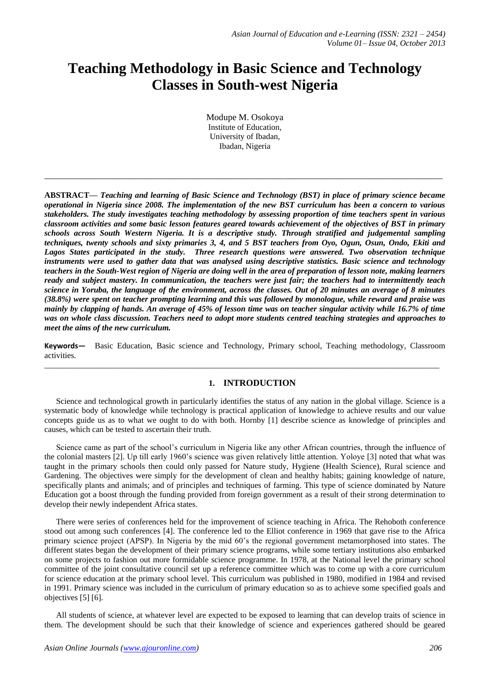# **Teaching Methodology in Basic Science and Technology Classes in South-west Nigeria**

Modupe M. Osokoya Institute of Education, University of Ibadan, Ibadan, Nigeria

**\_\_\_\_\_\_\_\_\_\_\_\_\_\_\_\_\_\_\_\_\_\_\_\_\_\_\_\_\_\_\_\_\_\_\_\_\_\_\_\_\_\_\_\_\_\_\_\_\_\_\_\_\_\_\_\_\_\_\_\_\_\_\_\_\_\_\_\_\_\_\_\_\_\_\_\_\_\_\_\_\_\_\_\_\_\_\_\_**

**ABSTRACT—** *Teaching and learning of Basic Science and Technology (BST) in place of primary science became operational in Nigeria since 2008. The implementation of the new BST curriculum has been a concern to various stakeholders. The study investigates teaching methodology by assessing proportion of time teachers spent in various classroom activities and some basic lesson features geared towards achievement of the objectives of BST in primary schools across South Western Nigeria. It is a descriptive study. Through stratified and judgemental sampling techniques, twenty schools and sixty primaries 3, 4, and 5 BST teachers from Oyo, Ogun, Osun, Ondo, Ekiti and Lagos States participated in the study. Three research questions were answered. Two observation technique instruments were used to gather data that was analysed using descriptive statistics. Basic science and technology teachers in the South-West region of Nigeria are doing well in the area of preparation of lesson note, making learners ready and subject mastery. In communication, the teachers were just fair; the teachers had to intermittently teach science in Yoruba, the language of the environment, across the classes. Out of 20 minutes an average of 8 minutes (38.8%) were spent on teacher prompting learning and this was followed by monologue, while reward and praise was mainly by clapping of hands. An average of 45% of lesson time was on teacher singular activity while 16.7% of time was on whole class discussion. Teachers need to adopt more students centred teaching strategies and approaches to meet the aims of the new curriculum.*

**Keywords—** Basic Education, Basic science and Technology, Primary school, Teaching methodology, Classroom activities.

 $\_$  ,  $\_$  ,  $\_$  ,  $\_$  ,  $\_$  ,  $\_$  ,  $\_$  ,  $\_$  ,  $\_$  ,  $\_$  ,  $\_$  ,  $\_$  ,  $\_$  ,  $\_$  ,  $\_$  ,  $\_$  ,  $\_$  ,  $\_$  ,  $\_$  ,  $\_$  ,  $\_$  ,  $\_$  ,  $\_$  ,  $\_$  ,  $\_$  ,  $\_$  ,  $\_$  ,  $\_$  ,  $\_$  ,  $\_$  ,  $\_$  ,  $\_$  ,  $\_$  ,  $\_$  ,  $\_$  ,  $\_$  ,  $\_$  ,

## **1. INTRODUCTION**

Science and technological growth in particularly identifies the status of any nation in the global village. Science is a systematic body of knowledge while technology is practical application of knowledge to achieve results and our value concepts guide us as to what we ought to do with both. Hornby [1] describe science as knowledge of principles and causes, which can be tested to ascertain their truth.

Science came as part of the school's curriculum in Nigeria like any other African countries, through the influence of the colonial masters [2]. Up till early 1960's science was given relatively little attention. Yoloye [3] noted that what was taught in the primary schools then could only passed for Nature study, Hygiene (Health Science), Rural science and Gardening. The objectives were simply for the development of clean and healthy habits; gaining knowledge of nature, specifically plants and animals; and of principles and techniques of farming. This type of science dominated by Nature Education got a boost through the funding provided from foreign government as a result of their strong determination to develop their newly independent Africa states.

There were series of conferences held for the improvement of science teaching in Africa. The Rehoboth conference stood out among such conferences [4]. The conference led to the Elliot conference in 1969 that gave rise to the Africa primary science project (APSP). In Nigeria by the mid 60's the regional government metamorphosed into states. The different states began the development of their primary science programs, while some tertiary institutions also embarked on some projects to fashion out more formidable science programme. In 1978, at the National level the primary school committee of the joint consultative council set up a reference committee which was to come up with a core curriculum for science education at the primary school level. This curriculum was published in 1980, modified in 1984 and revised in 1991. Primary science was included in the curriculum of primary education so as to achieve some specified goals and objectives [5] [6].

All students of science, at whatever level are expected to be exposed to learning that can develop traits of science in them. The development should be such that their knowledge of science and experiences gathered should be geared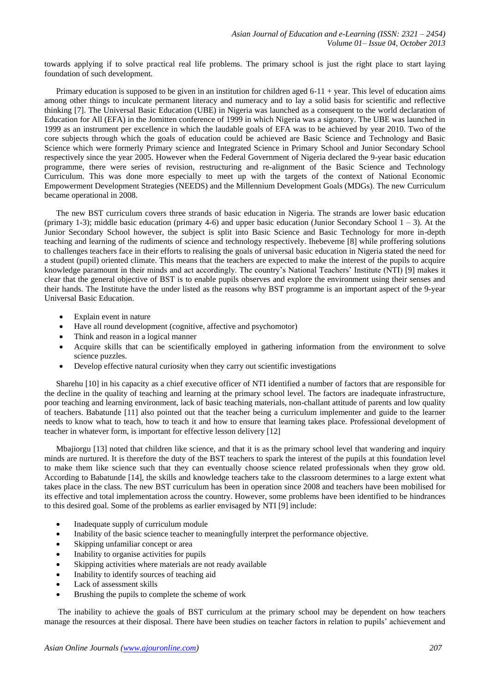towards applying if to solve practical real life problems. The primary school is just the right place to start laying foundation of such development.

Primary education is supposed to be given in an institution for children aged  $6-11 +$  year. This level of education aims among other things to inculcate permanent literacy and numeracy and to lay a solid basis for scientific and reflective thinking [7]. The Universal Basic Education (UBE) in Nigeria was launched as a consequent to the world declaration of Education for All (EFA) in the Jomitten conference of 1999 in which Nigeria was a signatory. The UBE was launched in 1999 as an instrument per excellence in which the laudable goals of EFA was to be achieved by year 2010. Two of the core subjects through which the goals of education could be achieved are Basic Science and Technology and Basic Science which were formerly Primary science and Integrated Science in Primary School and Junior Secondary School respectively since the year 2005. However when the Federal Government of Nigeria declared the 9-year basic education programme, there were series of revision, restructuring and re-alignment of the Basic Science and Technology Curriculum. This was done more especially to meet up with the targets of the context of National Economic Empowerment Development Strategies (NEEDS) and the Millennium Development Goals (MDGs). The new Curriculum became operational in 2008.

The new BST curriculum covers three strands of basic education in Nigeria. The strands are lower basic education (primary 1-3); middle basic education (primary 4-6) and upper basic education (Junior Secondary School  $1 - 3$ ). At the Junior Secondary School however, the subject is split into Basic Science and Basic Technology for more in-depth teaching and learning of the rudiments of science and technology respectively. Ihebeveme [8] while proffering solutions to challenges teachers face in their efforts to realising the goals of universal basic education in Nigeria stated the need for a student (pupil) oriented climate. This means that the teachers are expected to make the interest of the pupils to acquire knowledge paramount in their minds and act accordingly. The country's National Teachers' Institute (NTI) [9] makes it clear that the general objective of BST is to enable pupils observes and explore the environment using their senses and their hands. The Institute have the under listed as the reasons why BST programme is an important aspect of the 9-year Universal Basic Education.

- Explain event in nature
- Have all round development (cognitive, affective and psychomotor)
- Think and reason in a logical manner
- Acquire skills that can be scientifically employed in gathering information from the environment to solve science puzzles.
- Develop effective natural curiosity when they carry out scientific investigations

Sharehu [10] in his capacity as a chief executive officer of NTI identified a number of factors that are responsible for the decline in the quality of teaching and learning at the primary school level. The factors are inadequate infrastructure, poor teaching and learning environment, lack of basic teaching materials, non-challant attitude of parents and low quality of teachers. Babatunde [11] also pointed out that the teacher being a curriculum implementer and guide to the learner needs to know what to teach, how to teach it and how to ensure that learning takes place. Professional development of teacher in whatever form, is important for effective lesson delivery [12]

Mbajiorgu [13] noted that children like science, and that it is as the primary school level that wandering and inquiry minds are nurtured. It is therefore the duty of the BST teachers to spark the interest of the pupils at this foundation level to make them like science such that they can eventually choose science related professionals when they grow old. According to Babatunde [14], the skills and knowledge teachers take to the classroom determines to a large extent what takes place in the class. The new BST curriculum has been in operation since 2008 and teachers have been mobilised for its effective and total implementation across the country. However, some problems have been identified to be hindrances to this desired goal. Some of the problems as earlier envisaged by NTI [9] include:

- Inadequate supply of curriculum module
- Inability of the basic science teacher to meaningfully interpret the performance objective.
- Skipping unfamiliar concept or area
- Inability to organise activities for pupils
- Skipping activities where materials are not ready available
- Inability to identify sources of teaching aid
- Lack of assessment skills
- Brushing the pupils to complete the scheme of work

The inability to achieve the goals of BST curriculum at the primary school may be dependent on how teachers manage the resources at their disposal. There have been studies on teacher factors in relation to pupils' achievement and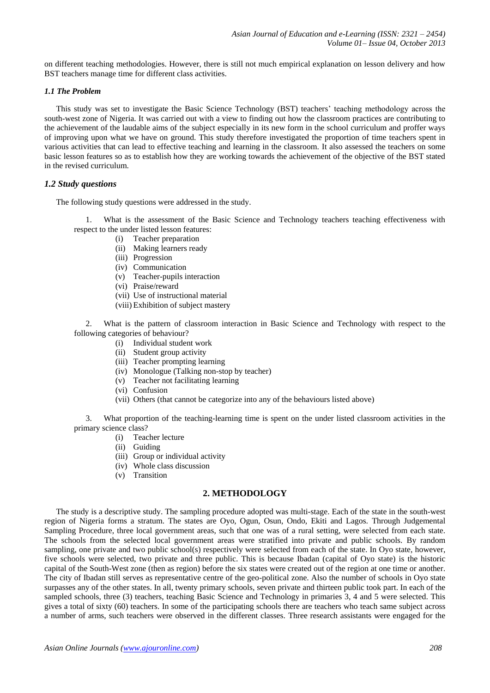on different teaching methodologies. However, there is still not much empirical explanation on lesson delivery and how BST teachers manage time for different class activities.

#### *1.1 The Problem*

This study was set to investigate the Basic Science Technology (BST) teachers' teaching methodology across the south-west zone of Nigeria. It was carried out with a view to finding out how the classroom practices are contributing to the achievement of the laudable aims of the subject especially in its new form in the school curriculum and proffer ways of improving upon what we have on ground. This study therefore investigated the proportion of time teachers spent in various activities that can lead to effective teaching and learning in the classroom. It also assessed the teachers on some basic lesson features so as to establish how they are working towards the achievement of the objective of the BST stated in the revised curriculum.

#### *1.2 Study questions*

The following study questions were addressed in the study.

1. What is the assessment of the Basic Science and Technology teachers teaching effectiveness with respect to the under listed lesson features:

- (i) Teacher preparation
- (ii) Making learners ready
- (iii) Progression
- (iv) Communication
- (v) Teacher-pupils interaction
- (vi) Praise/reward
- (vii) Use of instructional material
- (viii) Exhibition of subject mastery

2. What is the pattern of classroom interaction in Basic Science and Technology with respect to the following categories of behaviour?

- (i) Individual student work
- (ii) Student group activity
- (iii) Teacher prompting learning
- (iv) Monologue (Talking non-stop by teacher)
- (v) Teacher not facilitating learning
- (vi) Confusion
- (vii) Others (that cannot be categorize into any of the behaviours listed above)

3. What proportion of the teaching-learning time is spent on the under listed classroom activities in the primary science class?

- (i) Teacher lecture
- (ii) Guiding
- (iii) Group or individual activity
- (iv) Whole class discussion
- (v) Transition

### **2. METHODOLOGY**

The study is a descriptive study. The sampling procedure adopted was multi-stage. Each of the state in the south-west region of Nigeria forms a stratum. The states are Oyo, Ogun, Osun, Ondo, Ekiti and Lagos. Through Judgemental Sampling Procedure, three local government areas, such that one was of a rural setting, were selected from each state. The schools from the selected local government areas were stratified into private and public schools. By random sampling, one private and two public school(s) respectively were selected from each of the state. In Oyo state, however, five schools were selected, two private and three public. This is because Ibadan (capital of Oyo state) is the historic capital of the South-West zone (then as region) before the six states were created out of the region at one time or another. The city of Ibadan still serves as representative centre of the geo-political zone. Also the number of schools in Oyo state surpasses any of the other states. In all, twenty primary schools, seven private and thirteen public took part. In each of the sampled schools, three (3) teachers, teaching Basic Science and Technology in primaries 3, 4 and 5 were selected. This gives a total of sixty (60) teachers. In some of the participating schools there are teachers who teach same subject across a number of arms, such teachers were observed in the different classes. Three research assistants were engaged for the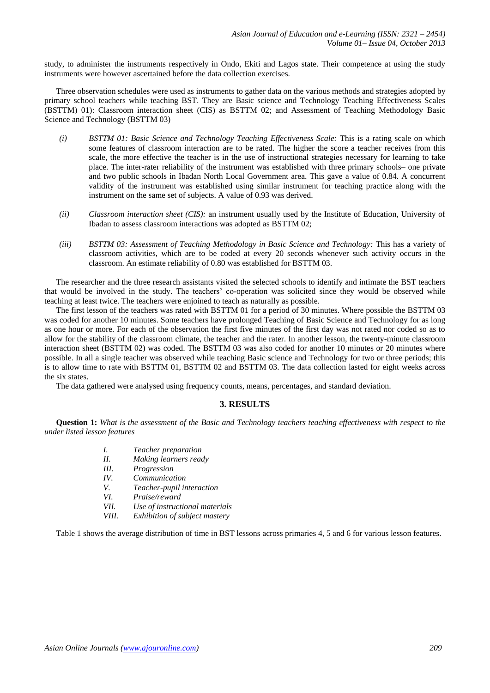study, to administer the instruments respectively in Ondo, Ekiti and Lagos state. Their competence at using the study instruments were however ascertained before the data collection exercises.

Three observation schedules were used as instruments to gather data on the various methods and strategies adopted by primary school teachers while teaching BST. They are Basic science and Technology Teaching Effectiveness Scales (BSTTM) 01): Classroom interaction sheet (CIS) as BSTTM 02; and Assessment of Teaching Methodology Basic Science and Technology (BSTTM 03)

- *(i) BSTTM 01: Basic Science and Technology Teaching Effectiveness Scale:* This is a rating scale on which some features of classroom interaction are to be rated. The higher the score a teacher receives from this scale, the more effective the teacher is in the use of instructional strategies necessary for learning to take place. The inter-rater reliability of the instrument was established with three primary schools– one private and two public schools in Ibadan North Local Government area. This gave a value of 0.84. A concurrent validity of the instrument was established using similar instrument for teaching practice along with the instrument on the same set of subjects. A value of 0.93 was derived.
- *(ii) Classroom interaction sheet (CIS):* an instrument usually used by the Institute of Education, University of Ibadan to assess classroom interactions was adopted as BSTTM 02;
- *(iii) BSTTM 03: Assessment of Teaching Methodology in Basic Science and Technology:* This has a variety of classroom activities, which are to be coded at every 20 seconds whenever such activity occurs in the classroom. An estimate reliability of 0.80 was established for BSTTM 03.

The researcher and the three research assistants visited the selected schools to identify and intimate the BST teachers that would be involved in the study. The teachers' co-operation was solicited since they would be observed while teaching at least twice. The teachers were enjoined to teach as naturally as possible.

The first lesson of the teachers was rated with BSTTM 01 for a period of 30 minutes. Where possible the BSTTM 03 was coded for another 10 minutes. Some teachers have prolonged Teaching of Basic Science and Technology for as long as one hour or more. For each of the observation the first five minutes of the first day was not rated nor coded so as to allow for the stability of the classroom climate, the teacher and the rater. In another lesson, the twenty-minute classroom interaction sheet (BSTTM 02) was coded. The BSTTM 03 was also coded for another 10 minutes or 20 minutes where possible. In all a single teacher was observed while teaching Basic science and Technology for two or three periods; this is to allow time to rate with BSTTM 01, BSTTM 02 and BSTTM 03. The data collection lasted for eight weeks across the six states.

The data gathered were analysed using frequency counts, means, percentages, and standard deviation.

#### **3. RESULTS**

**Question 1:** *What is the assessment of the Basic and Technology teachers teaching effectiveness with respect to the under listed lesson features*

- *I. Teacher preparation*
- *II. Making learners ready*
- *III. Progression*
- *IV. Communication*
- *V. Teacher-pupil interaction*
- *VI. Praise/reward*
- *VII. Use of instructional materials*
- *VIII. Exhibition of subject mastery*

Table 1 shows the average distribution of time in BST lessons across primaries 4, 5 and 6 for various lesson features.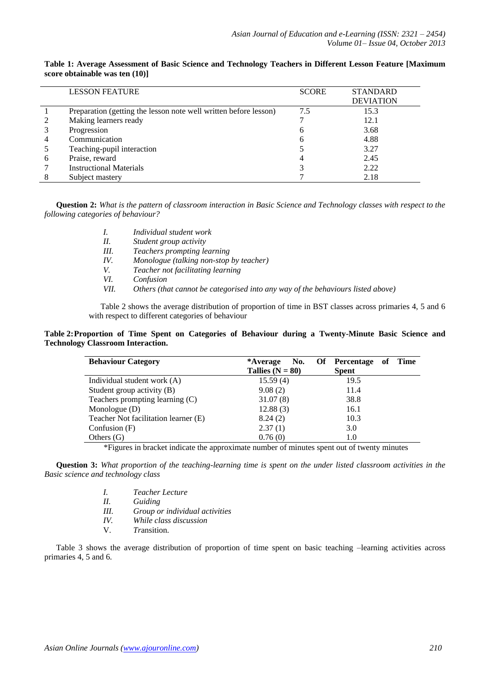|   | <b>LESSON FEATURE</b>                                            | <b>SCORE</b> | <b>STANDARD</b><br><b>DEVIATION</b> |
|---|------------------------------------------------------------------|--------------|-------------------------------------|
|   | Preparation (getting the lesson note well written before lesson) | 7.5          | 15.3                                |
|   | Making learners ready                                            |              | 12.1                                |
|   | Progression                                                      | h            | 3.68                                |
|   | Communication                                                    |              | 4.88                                |
|   | Teaching-pupil interaction                                       |              | 3.27                                |
| h | Praise, reward                                                   |              | 2.45                                |
|   | <b>Instructional Materials</b>                                   |              | 2.22                                |
|   | Subject mastery                                                  |              | 2.18                                |

**Table 1: Average Assessment of Basic Science and Technology Teachers in Different Lesson Feature [Maximum score obtainable was ten (10)]**

**Question 2:** *What is the pattern of classroom interaction in Basic Science and Technology classes with respect to the following categories of behaviour?*

- *I. Individual student work*
- *II. Student group activity*
- *III. Teachers prompting learning*
- *IV. Monologue (talking non-stop by teacher)*
- *V. Teacher not facilitating learning*
- *VI. Confusion*
- *VII. Others (that cannot be categorised into any way of the behaviours listed above)*

Table 2 shows the average distribution of proportion of time in BST classes across primaries 4, 5 and 6 with respect to different categories of behaviour

#### **Table 2:Proportion of Time Spent on Categories of Behaviour during a Twenty-Minute Basic Science and Technology Classroom Interaction.**

| <b>Behaviour Category</b>            | No.<br>*Average<br>Tallies $(N = 80)$ | Of  <br>of<br>Percentage<br><b>Time</b><br><b>Spent</b> |
|--------------------------------------|---------------------------------------|---------------------------------------------------------|
| Individual student work (A)          | 15.59(4)                              | 19.5                                                    |
| Student group activity (B)           | 9.08(2)                               | 11.4                                                    |
| Teachers prompting learning $(C)$    | 31.07(8)                              | 38.8                                                    |
| Monologue $(D)$                      | 12.88(3)                              | 16.1                                                    |
| Teacher Not facilitation learner (E) | 8.24(2)                               | 10.3                                                    |
| Confusion $(F)$                      | 2.37(1)                               | 3.0                                                     |
| Others $(G)$                         | 0.76(0)                               | 1.0                                                     |

\*Figures in bracket indicate the approximate number of minutes spent out of twenty minutes

**Question 3:** *What proportion of the teaching-learning time is spent on the under listed classroom activities in the Basic science and technology class*

- *I. Teacher Lecture II. Guiding III. Group or individual activities IV. While class discussion*
- V. *Tr*ansition.

Table 3 shows the average distribution of proportion of time spent on basic teaching –learning activities across primaries 4, 5 and 6.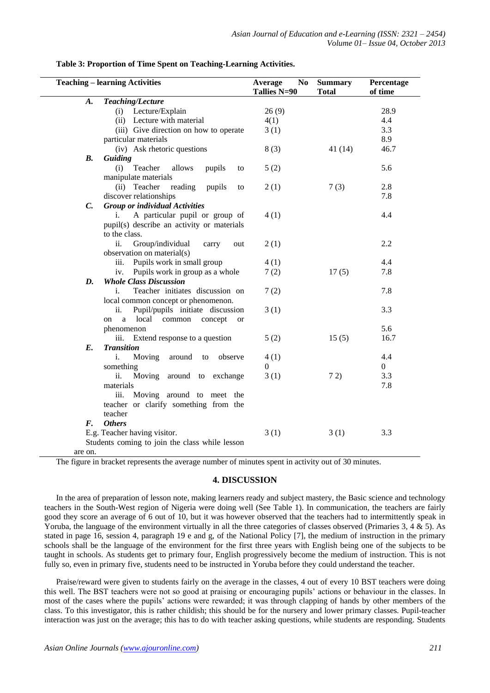| <b>Teaching – learning Activities</b> |                                                                                          | Average<br>No<br>Tallies N=90 | <b>Summary</b><br><b>Total</b> | Percentage<br>of time |
|---------------------------------------|------------------------------------------------------------------------------------------|-------------------------------|--------------------------------|-----------------------|
| A.                                    | Teaching/Lecture                                                                         |                               |                                |                       |
|                                       | Lecture/Explain<br>(i)                                                                   | 26(9)                         |                                | 28.9                  |
|                                       | (ii) Lecture with material                                                               | 4(1)                          |                                | 4.4                   |
|                                       | (iii) Give direction on how to operate                                                   | 3(1)                          |                                | 3.3                   |
|                                       | particular materials                                                                     |                               |                                | 8.9                   |
|                                       | (iv) Ask rhetoric questions                                                              | 8(3)                          | 41(14)                         | 46.7                  |
| <b>B.</b>                             | Guiding                                                                                  |                               |                                |                       |
|                                       | Teacher<br>(i)<br>allows<br>pupils<br>to                                                 | 5(2)                          |                                | 5.6                   |
|                                       | manipulate materials                                                                     |                               |                                |                       |
|                                       | (ii) Teacher<br>reading<br>pupils<br>to                                                  | 2(1)                          | 7(3)                           | 2.8                   |
|                                       | discover relationships                                                                   |                               |                                | 7.8                   |
| $\mathcal{C}$ .                       | <b>Group or individual Activities</b>                                                    |                               |                                |                       |
|                                       | A particular pupil or group of<br>i.                                                     | 4(1)                          |                                | 4.4                   |
|                                       | pupil(s) describe an activity or materials                                               |                               |                                |                       |
|                                       | to the class.                                                                            |                               |                                |                       |
|                                       | ii.<br>Group/individual<br>carry<br>out                                                  | 2(1)                          |                                | 2.2                   |
|                                       | observation on material(s)                                                               |                               |                                |                       |
|                                       | Pupils work in small group<br>iii.                                                       | 4(1)                          |                                | 4.4                   |
|                                       | Pupils work in group as a whole<br>iv.                                                   | 7(2)                          | 17(5)                          | 7.8                   |
| D.                                    | <b>Whole Class Discussion</b>                                                            |                               |                                |                       |
|                                       | Teacher initiates discussion on<br>i.                                                    | 7(2)                          |                                | 7.8                   |
|                                       | local common concept or phenomenon.                                                      |                               |                                | 3.3                   |
|                                       | Pupil/pupils initiate discussion<br>ii.<br>local<br>common concept<br><sub>a</sub><br>on | 3(1)                          |                                |                       |
|                                       | <b>or</b><br>phenomenon                                                                  |                               |                                | 5.6                   |
|                                       | iii. Extend response to a question                                                       | 5(2)                          | 15(5)                          | 16.7                  |
| E.                                    | <b>Transition</b>                                                                        |                               |                                |                       |
|                                       | Moving<br>observe<br>around<br>i.<br>to                                                  | 4(1)                          |                                | 4.4                   |
|                                       | something                                                                                | $\theta$                      |                                | $\overline{0}$        |
|                                       | ii.<br>Moving around to exchange                                                         | 3(1)                          | 72)                            | 3.3                   |
|                                       | materials                                                                                |                               |                                | 7.8                   |
|                                       | iii. Moving around to meet the                                                           |                               |                                |                       |
|                                       | teacher or clarify something from the                                                    |                               |                                |                       |
|                                       | teacher                                                                                  |                               |                                |                       |
| F.                                    | <b>Others</b>                                                                            |                               |                                |                       |
|                                       | E.g. Teacher having visitor.                                                             | 3(1)                          | 3(1)                           | 3.3                   |
|                                       | Students coming to join the class while lesson                                           |                               |                                |                       |
| are on.                               |                                                                                          |                               |                                |                       |

#### **Table 3: Proportion of Time Spent on Teaching-Learning Activities.**

The figure in bracket represents the average number of minutes spent in activity out of 30 minutes.

#### **4. DISCUSSION**

In the area of preparation of lesson note, making learners ready and subject mastery, the Basic science and technology teachers in the South-West region of Nigeria were doing well (See Table 1). In communication, the teachers are fairly good they score an average of 6 out of 10, but it was however observed that the teachers had to intermittently speak in Yoruba, the language of the environment virtually in all the three categories of classes observed (Primaries  $3, 4 \& 5$ ). As stated in page 16, session 4, paragraph 19 e and g, of the National Policy [7], the medium of instruction in the primary schools shall be the language of the environment for the first three years with English being one of the subjects to be taught in schools. As students get to primary four, English progressively become the medium of instruction. This is not fully so, even in primary five, students need to be instructed in Yoruba before they could understand the teacher.

Praise/reward were given to students fairly on the average in the classes, 4 out of every 10 BST teachers were doing this well. The BST teachers were not so good at praising or encouraging pupils' actions or behaviour in the classes. In most of the cases where the pupils' actions were rewarded; it was through clapping of hands by other members of the class. To this investigator, this is rather childish; this should be for the nursery and lower primary classes. Pupil-teacher interaction was just on the average; this has to do with teacher asking questions, while students are responding. Students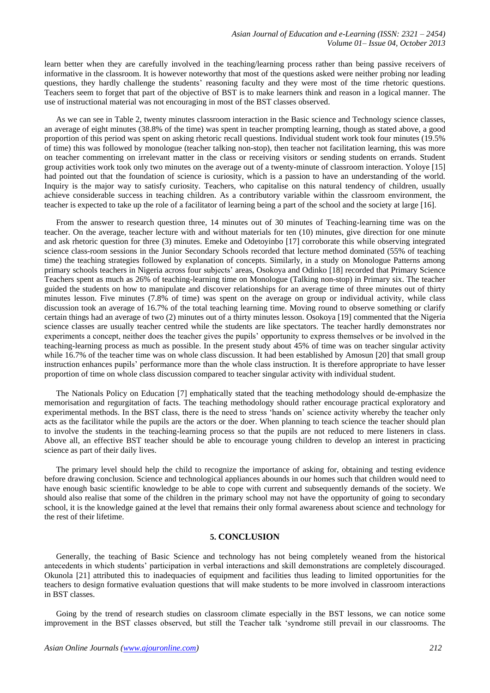learn better when they are carefully involved in the teaching/learning process rather than being passive receivers of informative in the classroom. It is however noteworthy that most of the questions asked were neither probing nor leading questions, they hardly challenge the students' reasoning faculty and they were most of the time rhetoric questions. Teachers seem to forget that part of the objective of BST is to make learners think and reason in a logical manner. The use of instructional material was not encouraging in most of the BST classes observed.

As we can see in Table 2, twenty minutes classroom interaction in the Basic science and Technology science classes, an average of eight minutes (38.8% of the time) was spent in teacher prompting learning, though as stated above, a good proportion of this period was spent on asking rhetoric recall questions. Individual student work took four minutes (19.5% of time) this was followed by monologue (teacher talking non-stop), then teacher not facilitation learning, this was more on teacher commenting on irrelevant matter in the class or receiving visitors or sending students on errands. Student group activities work took only two minutes on the average out of a twenty-minute of classroom interaction. Yoloye [15] had pointed out that the foundation of science is curiosity, which is a passion to have an understanding of the world. Inquiry is the major way to satisfy curiosity. Teachers, who capitalise on this natural tendency of children, usually achieve considerable success in teaching children. As a contributory variable within the classroom environment, the teacher is expected to take up the role of a facilitator of learning being a part of the school and the society at large [16].

From the answer to research question three, 14 minutes out of 30 minutes of Teaching-learning time was on the teacher. On the average, teacher lecture with and without materials for ten (10) minutes, give direction for one minute and ask rhetoric question for three (3) minutes. Emeke and Odetoyinbo [17] corroborate this while observing integrated science class-room sessions in the Junior Secondary Schools recorded that lecture method dominated (55% of teaching time) the teaching strategies followed by explanation of concepts. Similarly, in a study on Monologue Patterns among primary schools teachers in Nigeria across four subjects' areas, Osokoya and Odinko [18] recorded that Primary Science Teachers spent as much as 26% of teaching-learning time on Monologue (Talking non-stop) in Primary six. The teacher guided the students on how to manipulate and discover relationships for an average time of three minutes out of thirty minutes lesson. Five minutes (7.8% of time) was spent on the average on group or individual activity, while class discussion took an average of 16.7% of the total teaching learning time. Moving round to observe something or clarify certain things had an average of two (2) minutes out of a thirty minutes lesson. Osokoya [19] commented that the Nigeria science classes are usually teacher centred while the students are like spectators. The teacher hardly demonstrates nor experiments a concept, neither does the teacher gives the pupils' opportunity to express themselves or be involved in the teaching-learning process as much as possible. In the present study about 45% of time was on teacher singular activity while 16.7% of the teacher time was on whole class discussion. It had been established by Amosun [20] that small group instruction enhances pupils' performance more than the whole class instruction. It is therefore appropriate to have lesser proportion of time on whole class discussion compared to teacher singular activity with individual student.

The Nationals Policy on Education [7] emphatically stated that the teaching methodology should de-emphasize the memorisation and regurgitation of facts. The teaching methodology should rather encourage practical exploratory and experimental methods. In the BST class, there is the need to stress 'hands on' science activity whereby the teacher only acts as the facilitator while the pupils are the actors or the doer. When planning to teach science the teacher should plan to involve the students in the teaching-learning process so that the pupils are not reduced to mere listeners in class. Above all, an effective BST teacher should be able to encourage young children to develop an interest in practicing science as part of their daily lives.

The primary level should help the child to recognize the importance of asking for, obtaining and testing evidence before drawing conclusion. Science and technological appliances abounds in our homes such that children would need to have enough basic scientific knowledge to be able to cope with current and subsequently demands of the society. We should also realise that some of the children in the primary school may not have the opportunity of going to secondary school, it is the knowledge gained at the level that remains their only formal awareness about science and technology for the rest of their lifetime.

## **5. CONCLUSION**

Generally, the teaching of Basic Science and technology has not being completely weaned from the historical antecedents in which students' participation in verbal interactions and skill demonstrations are completely discouraged. Okunola [21] attributed this to inadequacies of equipment and facilities thus leading to limited opportunities for the teachers to design formative evaluation questions that will make students to be more involved in classroom interactions in BST classes.

Going by the trend of research studies on classroom climate especially in the BST lessons, we can notice some improvement in the BST classes observed, but still the Teacher talk 'syndrome still prevail in our classrooms. The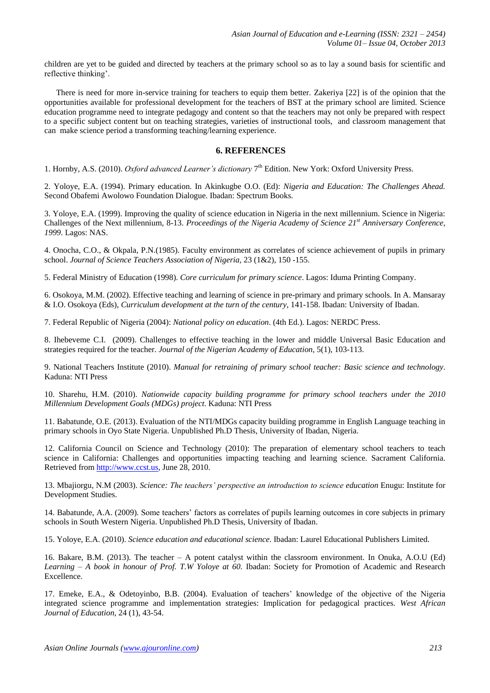children are yet to be guided and directed by teachers at the primary school so as to lay a sound basis for scientific and reflective thinking'.

There is need for more in-service training for teachers to equip them better. Zakeriya [22] is of the opinion that the opportunities available for professional development for the teachers of BST at the primary school are limited. Science education programme need to integrate pedagogy and content so that the teachers may not only be prepared with respect to a specific subject content but on teaching strategies, varieties of instructional tools, and classroom management that can make science period a transforming teaching/learning experience.

## **6. REFERENCES**

1. Hornby, A.S. (2010). *Oxford advanced Learner's dictionary* 7<sup>th</sup> Edition. New York: Oxford University Press.

2. Yoloye, E.A. (1994). Primary education. In Akinkugbe O.O. (Ed): *Nigeria and Education: The Challenges Ahead.* Second Obafemi Awolowo Foundation Dialogue. Ibadan: Spectrum Books.

3. Yoloye, E.A. (1999). Improving the quality of science education in Nigeria in the next millennium. Science in Nigeria: Challenges of the Next millennium, 8-13. *Proceedings of the Nigeria Academy of Science 21st Anniversary Conference, 1999*. Lagos: NAS.

4. Onocha, C.O., & Okpala, P.N.(1985). Faculty environment as correlates of science achievement of pupils in primary school. *Journal of Science Teachers Association of Nigeria,* 23 (1&2), 150 -155.

5. Federal Ministry of Education (1998). *Core curriculum for primary science*. Lagos: Iduma Printing Company.

6. Osokoya, M.M. (2002). Effective teaching and learning of science in pre-primary and primary schools. In A. Mansaray & I.O. Osokoya (Eds), *Curriculum development at the turn of the century,* 141-158. Ibadan: University of Ibadan.

7. Federal Republic of Nigeria (2004): *National policy on education*. (4th Ed.). Lagos: NERDC Press.

8. Ihebeveme C.I. (2009). Challenges to effective teaching in the lower and middle Universal Basic Education and strategies required for the teacher. *Journal of the Nigerian Academy of Education,* 5(1), 103-113.

9. National Teachers Institute (2010). *Manual for retraining of primary school teacher: Basic science and technology*. Kaduna: NTI Press

10. Sharehu, H.M. (2010). *Nationwide capacity building programme for primary school teachers under the 2010 Millennium Development Goals (MDGs) project*. Kaduna: NTI Press

11. Babatunde, O.E. (2013). Evaluation of the NTI/MDGs capacity building programme in English Language teaching in primary schools in Oyo State Nigeria. Unpublished Ph.D Thesis, University of Ibadan, Nigeria.

12. California Council on Science and Technology (2010): The preparation of elementary school teachers to teach science in California: Challenges and opportunities impacting teaching and learning science*.* Sacrament California. Retrieved from [http://www.ccst.us,](http://www.ccst.us/) June 28, 2010.

13. Mbajiorgu, N.M (2003). *Science: The teachers' perspective an introduction to science education* Enugu: Institute for Development Studies.

14. Babatunde, A.A. (2009). Some teachers' factors as correlates of pupils learning outcomes in core subjects in primary schools in South Western Nigeria. Unpublished Ph.D Thesis, University of Ibadan.

15. Yoloye, E.A. (2010). *Science education and educational science*. Ibadan: Laurel Educational Publishers Limited.

16. Bakare, B.M. (2013). The teacher – A potent catalyst within the classroom environment. In Onuka, A.O.U (Ed) *Learning – A book in honour of Prof. T.W Yoloye at 60.* Ibadan: Society for Promotion of Academic and Research Excellence.

17. Emeke, E.A., & Odetoyinbo, B.B. (2004). Evaluation of teachers' knowledge of the objective of the Nigeria integrated science programme and implementation strategies: Implication for pedagogical practices. *West African Journal of Education*, 24 (1), 43-54.